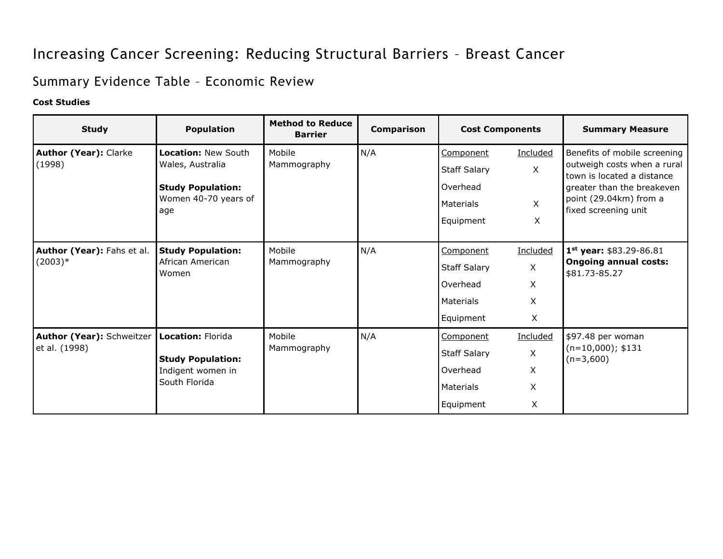## Increasing Cancer Screening: Reducing Structural Barriers – Breast Cancer

## Summary Evidence Table – Economic Review

## **Cost Studies**

| <b>Study</b>                                                                                                                      | <b>Population</b>                                       | <b>Method to Reduce</b><br><b>Barrier</b> | <b>Comparison</b> | <b>Cost Components</b> |              | <b>Summary Measure</b>                                                                                                                                                    |
|-----------------------------------------------------------------------------------------------------------------------------------|---------------------------------------------------------|-------------------------------------------|-------------------|------------------------|--------------|---------------------------------------------------------------------------------------------------------------------------------------------------------------------------|
| <b>Author (Year): Clarke</b><br>(1998)                                                                                            | Location: New South<br>Wales, Australia                 | Mobile<br>Mammography                     | N/A               | Component              | Included     | Benefits of mobile screening<br>outweigh costs when a rural<br>town is located a distance<br>greater than the breakeven<br>point (29.04km) from a<br>fixed screening unit |
|                                                                                                                                   |                                                         |                                           |                   | <b>Staff Salary</b>    | $\mathsf{X}$ |                                                                                                                                                                           |
|                                                                                                                                   | <b>Study Population:</b><br>Women 40-70 years of<br>age |                                           |                   | Overhead               |              |                                                                                                                                                                           |
|                                                                                                                                   |                                                         |                                           |                   | <b>Materials</b>       | X            |                                                                                                                                                                           |
|                                                                                                                                   |                                                         |                                           |                   | Equipment              | X            |                                                                                                                                                                           |
| Author (Year): Fahs et al.<br>$(2003)*$                                                                                           | <b>Study Population:</b><br>African American<br>Women   | Mobile<br>Mammography                     | N/A               | Component              | Included     | 1st year: \$83.29-86.81<br><b>Ongoing annual costs:</b><br>\$81.73-85.27                                                                                                  |
|                                                                                                                                   |                                                         |                                           |                   | <b>Staff Salary</b>    | X            |                                                                                                                                                                           |
|                                                                                                                                   |                                                         |                                           |                   | Overhead               | X.           |                                                                                                                                                                           |
|                                                                                                                                   |                                                         |                                           |                   | <b>Materials</b>       | X            |                                                                                                                                                                           |
|                                                                                                                                   |                                                         |                                           |                   | Equipment              | X            |                                                                                                                                                                           |
| Author (Year): Schweitzer<br>Location: Florida<br>et al. (1998)<br><b>Study Population:</b><br>Indigent women in<br>South Florida |                                                         | Mobile<br>Mammography                     | N/A               | Component              | Included     | \$97.48 per woman<br>$(n=10,000);$ \$131<br>$(n=3,600)$                                                                                                                   |
|                                                                                                                                   |                                                         |                                           |                   | <b>Staff Salary</b>    | X            |                                                                                                                                                                           |
|                                                                                                                                   |                                                         |                                           |                   | Overhead               | X            |                                                                                                                                                                           |
|                                                                                                                                   |                                                         |                                           |                   | <b>Materials</b>       | X            |                                                                                                                                                                           |
|                                                                                                                                   |                                                         |                                           | Equipment         | X                      |              |                                                                                                                                                                           |